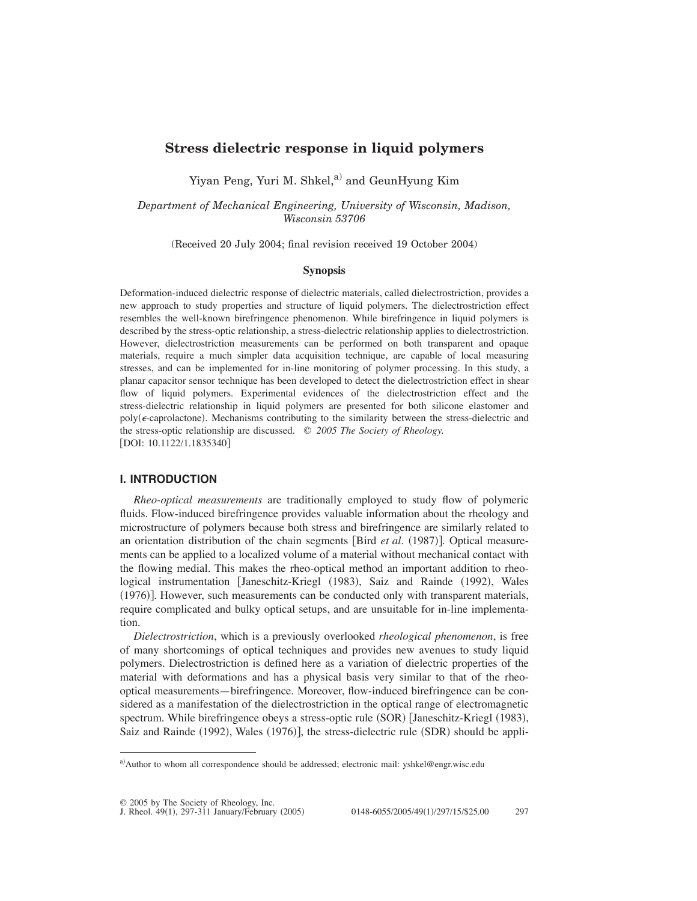# **Stress dielectric response in liquid polymers**

Yiyan Peng, Yuri M. Shkel,<sup>a)</sup> and GeunHyung Kim

*Department of Mechanical Engineering, University of Wisconsin, Madison, Wisconsin 53706*

(Received 20 July 2004; final revision received 19 October 2004)

### **Synopsis**

Deformation-induced dielectric response of dielectric materials, called dielectrostriction, provides a new approach to study properties and structure of liquid polymers. The dielectrostriction effect resembles the well-known birefringence phenomenon. While birefringence in liquid polymers is described by the stress-optic relationship, a stress-dielectric relationship applies to dielectrostriction. However, dielectrostriction measurements can be performed on both transparent and opaque materials, require a much simpler data acquisition technique, are capable of local measuring stresses, and can be implemented for in-line monitoring of polymer processing. In this study, a planar capacitor sensor technique has been developed to detect the dielectrostriction effect in shear flow of liquid polymers. Experimental evidences of the dielectrostriction effect and the stress-dielectric relationship in liquid polymers are presented for both silicone elastomer and  $poly(\epsilon$ -caprolactone). Mechanisms contributing to the similarity between the stress-dielectric and the stress-optic relationship are discussed. © *2005 The Society of Rheology.*  $[DOI: 10.1122/1.1835340]$ 

### **I. INTRODUCTION**

*Rheo-optical measurements* are traditionally employed to study flow of polymeric fluids. Flow-induced birefringence provides valuable information about the rheology and microstructure of polymers because both stress and birefringence are similarly related to an orientation distribution of the chain segments [Bird *et al.* (1987)]. Optical measurements can be applied to a localized volume of a material without mechanical contact with the flowing medial. This makes the rheo-optical method an important addition to rheological instrumentation [Janeschitz-Kriegl (1983), Saiz and Rainde (1992), Wales  $(1976)$ . However, such measurements can be conducted only with transparent materials, require complicated and bulky optical setups, and are unsuitable for in-line implementation.

*Dielectrostriction*, which is a previously overlooked *rheological phenomenon*, is free of many shortcomings of optical techniques and provides new avenues to study liquid polymers. Dielectrostriction is defined here as a variation of dielectric properties of the material with deformations and has a physical basis very similar to that of the rheooptical measurements—birefringence. Moreover, flow-induced birefringence can be considered as a manifestation of the dielectrostriction in the optical range of electromagnetic spectrum. While birefringence obeys a stress-optic rule  $(SOR)$  [Janeschitz-Kriegl  $(1983)$ , Saiz and Rainde (1992), Wales (1976)], the stress-dielectric rule (SDR) should be appli-

a)Author to whom all correspondence should be addressed; electronic mail: yshkel@engr.wisc.edu

<sup>©</sup> 2005 by The Society of Rheology, Inc.

J. Rheol. 49!1#, 297-311 January/February !2005# 0148-6055/2005/49!1#/297/15/\$25.00 297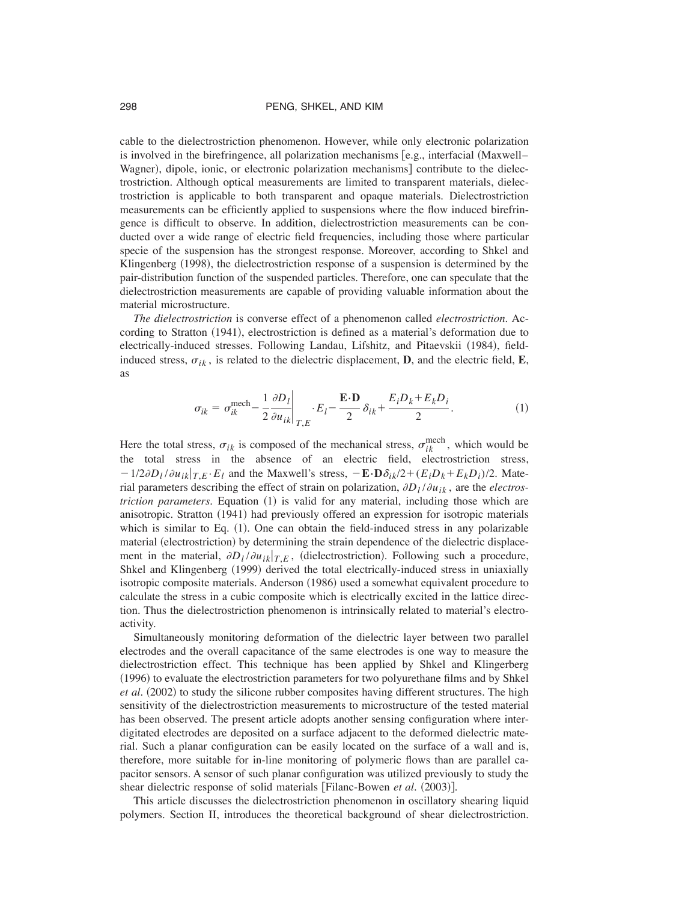cable to the dielectrostriction phenomenon. However, while only electronic polarization is involved in the birefringence, all polarization mechanisms [e.g., interfacial (Maxwell– Wagner), dipole, ionic, or electronic polarization mechanisms] contribute to the dielectrostriction. Although optical measurements are limited to transparent materials, dielectrostriction is applicable to both transparent and opaque materials. Dielectrostriction measurements can be efficiently applied to suspensions where the flow induced birefringence is difficult to observe. In addition, dielectrostriction measurements can be conducted over a wide range of electric field frequencies, including those where particular specie of the suspension has the strongest response. Moreover, according to Shkel and Klingenberg  $(1998)$ , the dielectrostriction response of a suspension is determined by the pair-distribution function of the suspended particles. Therefore, one can speculate that the dielectrostriction measurements are capable of providing valuable information about the material microstructure.

*The dielectrostriction* is converse effect of a phenomenon called *electrostriction*. According to Stratton (1941), electrostriction is defined as a material's deformation due to electrically-induced stresses. Following Landau, Lifshitz, and Pitaevskii (1984), fieldinduced stress,  $\sigma_{ik}$ , is related to the dielectric displacement, **D**, and the electric field, **E**, as

$$
\sigma_{ik} = \sigma_{ik}^{\text{mech}} - \frac{1}{2} \frac{\partial D_l}{\partial u_{ik}} \bigg|_{T,E} \cdot E_l - \frac{\mathbf{E} \cdot \mathbf{D}}{2} \delta_{ik} + \frac{E_i D_k + E_k D_i}{2}.
$$
 (1)

Here the total stress,  $\sigma_{ik}$  is composed of the mechanical stress,  $\sigma_{ik}^{\text{mech}}$ , which would be the total stress in the absence of an electric field, electrostriction stress,  $-1/2\partial D_l/\partial u_{ik}|_{T,E}$   $\cdot E_l$  and the Maxwell's stress,  $-\mathbf{E}\cdot\mathbf{D}\delta_{ik}/2 + (E_i D_k + E_k D_i)/2$ . Material parameters describing the effect of strain on polarization,  $\partial D_l / \partial u_{ik}$ , are the *electrostriction parameters*. Equation (1) is valid for any material, including those which are anisotropic. Stratton (1941) had previously offered an expression for isotropic materials which is similar to Eq.  $(1)$ . One can obtain the field-induced stress in any polarizable material (electrostriction) by determining the strain dependence of the dielectric displacement in the material,  $\partial D_l / \partial u_{ik}|_{T,E}$ , (dielectrostriction). Following such a procedure, Shkel and Klingenberg (1999) derived the total electrically-induced stress in uniaxially isotropic composite materials. Anderson (1986) used a somewhat equivalent procedure to calculate the stress in a cubic composite which is electrically excited in the lattice direction. Thus the dielectrostriction phenomenon is intrinsically related to material's electroactivity.

Simultaneously monitoring deformation of the dielectric layer between two parallel electrodes and the overall capacitance of the same electrodes is one way to measure the dielectrostriction effect. This technique has been applied by Shkel and Klingerberg (1996) to evaluate the electrostriction parameters for two polyurethane films and by Shkel *et al.* (2002) to study the silicone rubber composites having different structures. The high sensitivity of the dielectrostriction measurements to microstructure of the tested material has been observed. The present article adopts another sensing configuration where interdigitated electrodes are deposited on a surface adjacent to the deformed dielectric material. Such a planar configuration can be easily located on the surface of a wall and is, therefore, more suitable for in-line monitoring of polymeric flows than are parallel capacitor sensors. A sensor of such planar configuration was utilized previously to study the shear dielectric response of solid materials [Filanc-Bowen *et al.* (2003)].

This article discusses the dielectrostriction phenomenon in oscillatory shearing liquid polymers. Section II, introduces the theoretical background of shear dielectrostriction.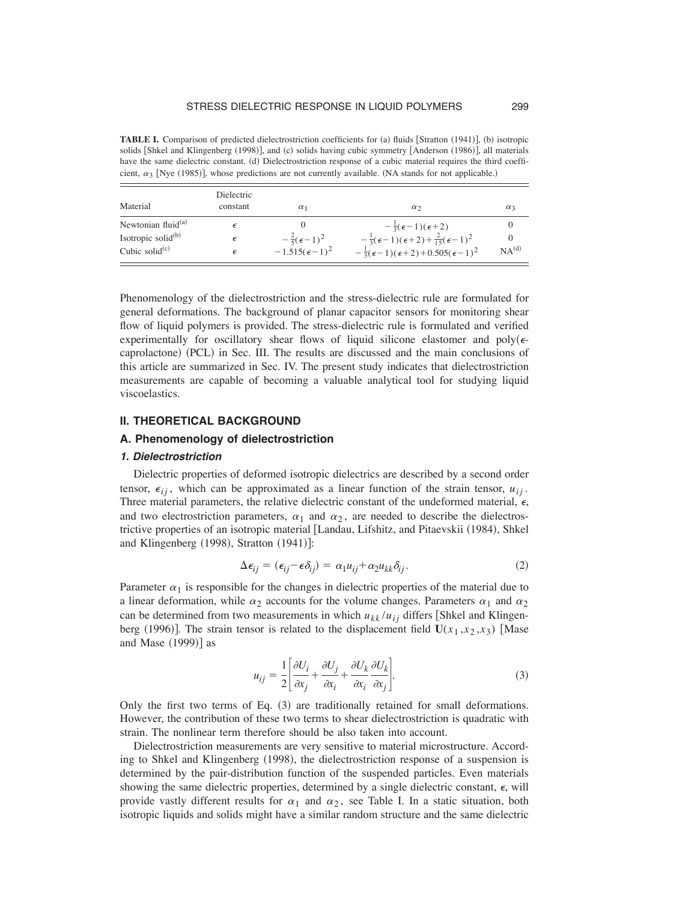**TABLE I.** Comparison of predicted dielectrostriction coefficients for (a) fluids  $[Stratton (1941)], (b)$  isotropic solids [Shkel and Klingenberg (1998)], and (c) solids having cubic symmetry [Anderson (1986)], all materials have the same dielectric constant. (d) Dielectrostriction response of a cubic material requires the third coefficient,  $\alpha_3$  [Nye (1985)], whose predictions are not currently available. (NA stands for not applicable.)

| Material              | Dielectric<br>constant | $\alpha_1$                   | $\alpha$                                                          | $\alpha_3$        |
|-----------------------|------------------------|------------------------------|-------------------------------------------------------------------|-------------------|
| Newtonian fluid $(a)$ |                        |                              | $-\frac{1}{3}(\epsilon-1)(\epsilon+2)$                            |                   |
| Isotropic solid $(b)$ |                        | $-\frac{2}{5}(\epsilon-1)^2$ | $-\frac{1}{3}(\epsilon-1)(\epsilon+2)+\frac{2}{15}(\epsilon-1)^2$ |                   |
| Cubic solid $(c)$     |                        | $-1.515(\epsilon-1)^2$       | $-\frac{1}{3}(\epsilon-1)(\epsilon+2)+0.505(\epsilon-1)^2$        | NA <sup>(d)</sup> |

Phenomenology of the dielectrostriction and the stress-dielectric rule are formulated for general deformations. The background of planar capacitor sensors for monitoring shear flow of liquid polymers is provided. The stress-dielectric rule is formulated and verified experimentally for oscillatory shear flows of liquid silicone elastomer and  $poly(\epsilon$ caprolactone) (PCL) in Sec. III. The results are discussed and the main conclusions of this article are summarized in Sec. IV. The present study indicates that dielectrostriction measurements are capable of becoming a valuable analytical tool for studying liquid viscoelastics.

## **II. THEORETICAL BACKGROUND**

## **A. Phenomenology of dielectrostriction**

## **1. Dielectrostriction**

Dielectric properties of deformed isotropic dielectrics are described by a second order tensor,  $\epsilon_{ij}$ , which can be approximated as a linear function of the strain tensor,  $u_{ij}$ . Three material parameters, the relative dielectric constant of the undeformed material,  $\epsilon$ , and two electrostriction parameters,  $\alpha_1$  and  $\alpha_2$ , are needed to describe the dielectrostrictive properties of an isotropic material [Landau, Lifshitz, and Pitaevskii (1984), Shkel and Klingenberg  $(1998)$ , Stratton  $(1941)$ :

$$
\Delta \epsilon_{ij} = (\epsilon_{ij} - \epsilon \delta_{ij}) = \alpha_1 u_{ij} + \alpha_2 u_{kk} \delta_{ij}.
$$
 (2)

Parameter  $\alpha_1$  is responsible for the changes in dielectric properties of the material due to a linear deformation, while  $\alpha_2$  accounts for the volume changes. Parameters  $\alpha_1$  and  $\alpha_2$ can be determined from two measurements in which  $u_{kk}/u_{ij}$  differs [Shkel and Klingenberg (1996)]. The strain tensor is related to the displacement field  $U(x_1, x_2, x_3)$  [Mase and Mase  $(1999)$ ] as

$$
u_{ij} = \frac{1}{2} \left[ \frac{\partial U_i}{\partial x_j} + \frac{\partial U_j}{\partial x_i} + \frac{\partial U_k}{\partial x_i} \frac{\partial U_k}{\partial x_j} \right].
$$
 (3)

Only the first two terms of Eq.  $(3)$  are traditionally retained for small deformations. However, the contribution of these two terms to shear dielectrostriction is quadratic with strain. The nonlinear term therefore should be also taken into account.

Dielectrostriction measurements are very sensitive to material microstructure. According to Shkel and Klingenberg (1998), the dielectrostriction response of a suspension is determined by the pair-distribution function of the suspended particles. Even materials showing the same dielectric properties, determined by a single dielectric constant,  $\epsilon$ , will provide vastly different results for  $\alpha_1$  and  $\alpha_2$ , see Table I. In a static situation, both isotropic liquids and solids might have a similar random structure and the same dielectric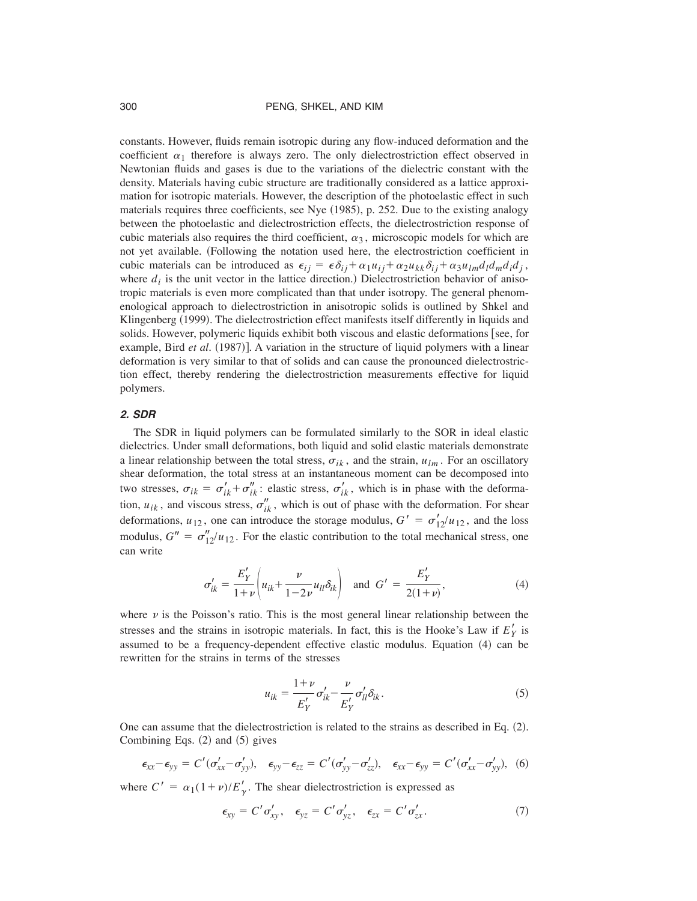constants. However, fluids remain isotropic during any flow-induced deformation and the coefficient  $\alpha_1$  therefore is always zero. The only dielectrostriction effect observed in Newtonian fluids and gases is due to the variations of the dielectric constant with the density. Materials having cubic structure are traditionally considered as a lattice approximation for isotropic materials. However, the description of the photoelastic effect in such materials requires three coefficients, see Nye  $(1985)$ , p. 252. Due to the existing analogy between the photoelastic and dielectrostriction effects, the dielectrostriction response of cubic materials also requires the third coefficient,  $\alpha_3$ , microscopic models for which are not yet available. (Following the notation used here, the electrostriction coefficient in cubic materials can be introduced as  $\epsilon_{ij} = \epsilon \delta_{ij} + \alpha_1 u_{ij} + \alpha_2 u_{kk} \delta_{ij} + \alpha_3 u_{lm} d_l d_m d_i d_j$ , where  $d_i$  is the unit vector in the lattice direction.) Dielectrostriction behavior of anisotropic materials is even more complicated than that under isotropy. The general phenomenological approach to dielectrostriction in anisotropic solids is outlined by Shkel and Klingenberg (1999). The dielectrostriction effect manifests itself differently in liquids and solids. However, polymeric liquids exhibit both viscous and elastic deformations [see, for example, Bird *et al.* (1987). A variation in the structure of liquid polymers with a linear deformation is very similar to that of solids and can cause the pronounced dielectrostriction effect, thereby rendering the dielectrostriction measurements effective for liquid polymers.

## **2. SDR**

The SDR in liquid polymers can be formulated similarly to the SOR in ideal elastic dielectrics. Under small deformations, both liquid and solid elastic materials demonstrate a linear relationship between the total stress,  $\sigma_{ik}$ , and the strain,  $u_{lm}$ . For an oscillatory shear deformation, the total stress at an instantaneous moment can be decomposed into two stresses,  $\sigma_{ik} = \sigma'_{ik} + \sigma''_{ik}$ : elastic stress,  $\sigma'_{ik}$ , which is in phase with the deformation,  $u_{ik}$ , and viscous stress,  $\sigma''_{ik}$ , which is out of phase with the deformation. For shear deformations,  $u_{12}$ , one can introduce the storage modulus,  $G' = \sigma'_{12}/u_{12}$ , and the loss modulus,  $G'' = \sigma_{12}''/u_{12}$ . For the elastic contribution to the total mechanical stress, one can write

$$
\sigma'_{ik} = \frac{E'_Y}{1+\nu} \left( u_{ik} + \frac{\nu}{1-2\nu} u_{ll} \delta_{ik} \right) \text{ and } G' = \frac{E'_Y}{2(1+\nu)},
$$
\n(4)

where  $\nu$  is the Poisson's ratio. This is the most general linear relationship between the stresses and the strains in isotropic materials. In fact, this is the Hooke's Law if  $E'_Y$  is assumed to be a frequency-dependent effective elastic modulus. Equation  $(4)$  can be rewritten for the strains in terms of the stresses

$$
u_{ik} = \frac{1+\nu}{E_Y'} \sigma'_{ik} - \frac{\nu}{E_Y'} \sigma'_{ll} \delta_{ik}.
$$
 (5)

One can assume that the dielectrostriction is related to the strains as described in Eq.  $(2)$ . Combining Eqs.  $(2)$  and  $(5)$  gives

$$
\epsilon_{xx} - \epsilon_{yy} = C'(\sigma'_{xx} - \sigma'_{yy}), \quad \epsilon_{yy} - \epsilon_{zz} = C'(\sigma'_{yy} - \sigma'_{zz}), \quad \epsilon_{xx} - \epsilon_{yy} = C'(\sigma'_{xx} - \sigma'_{yy}), \tag{6}
$$

where  $C' = \alpha_1(1+\nu)/E'_{\gamma}$ . The shear dielectrostriction is expressed as

$$
\epsilon_{xy} = C' \sigma'_{xy}, \quad \epsilon_{yz} = C' \sigma'_{yz}, \quad \epsilon_{zx} = C' \sigma'_{zx}.
$$
 (7)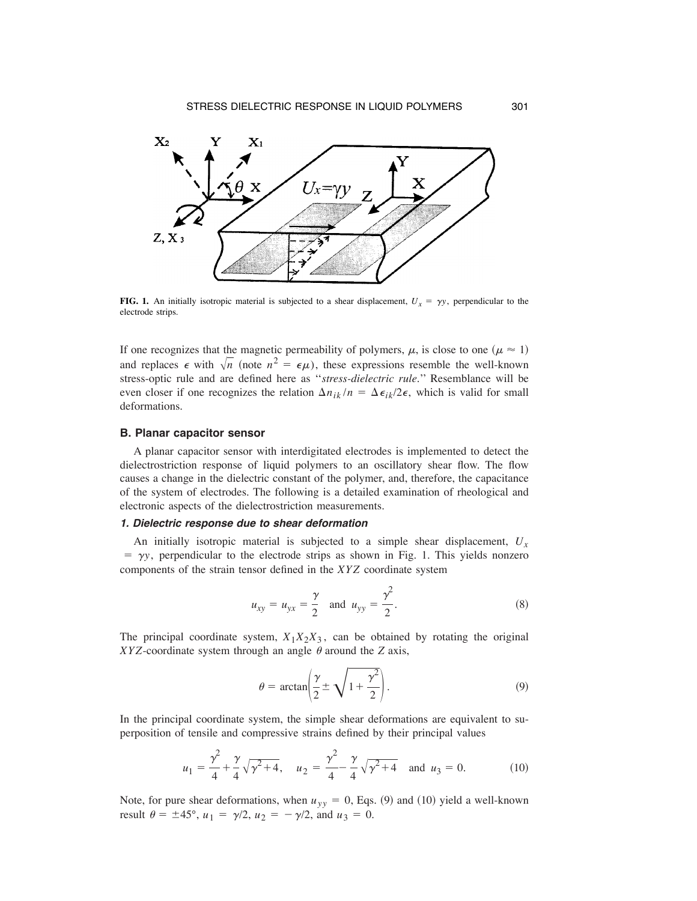

**FIG.** 1. An initially isotropic material is subjected to a shear displacement,  $U_x = \gamma y$ , perpendicular to the electrode strips.

If one recognizes that the magnetic permeability of polymers,  $\mu$ , is close to one  $(\mu \approx 1)$ and replaces  $\epsilon$  with  $\sqrt{n}$  (note  $n^2 = \epsilon \mu$ ), these expressions resemble the well-known stress-optic rule and are defined here as ''*stress-dielectric rule*.'' Resemblance will be even closer if one recognizes the relation  $\Delta n_{ik} / n = \Delta \epsilon_{ik}/2\epsilon$ , which is valid for small deformations.

## **B. Planar capacitor sensor**

A planar capacitor sensor with interdigitated electrodes is implemented to detect the dielectrostriction response of liquid polymers to an oscillatory shear flow. The flow causes a change in the dielectric constant of the polymer, and, therefore, the capacitance of the system of electrodes. The following is a detailed examination of rheological and electronic aspects of the dielectrostriction measurements.

### **1. Dielectric response due to shear deformation**

An initially isotropic material is subjected to a simple shear displacement, *Ux*  $= \gamma y$ , perpendicular to the electrode strips as shown in Fig. 1. This yields nonzero components of the strain tensor defined in the *XYZ* coordinate system

$$
u_{xy} = u_{yx} = \frac{\gamma}{2}
$$
 and  $u_{yy} = \frac{\gamma^2}{2}$ . (8)

The principal coordinate system,  $X_1X_2X_3$ , can be obtained by rotating the original *XYZ*-coordinate system through an angle  $\theta$  around the *Z* axis,

$$
\theta = \arctan\left(\frac{\gamma}{2} \pm \sqrt{1 + \frac{\gamma^2}{2}}\right). \tag{9}
$$

In the principal coordinate system, the simple shear deformations are equivalent to superposition of tensile and compressive strains defined by their principal values

$$
u_1 = \frac{\gamma^2}{4} + \frac{\gamma}{4} \sqrt{\gamma^2 + 4}, \quad u_2 = \frac{\gamma^2}{4} - \frac{\gamma}{4} \sqrt{\gamma^2 + 4} \quad \text{and } u_3 = 0. \tag{10}
$$

Note, for pure shear deformations, when  $u_{yy} = 0$ , Eqs. (9) and (10) yield a well-known result  $\theta = \pm 45^{\circ}$ ,  $u_1 = \gamma/2$ ,  $u_2 = -\gamma/2$ , and  $u_3 = 0$ .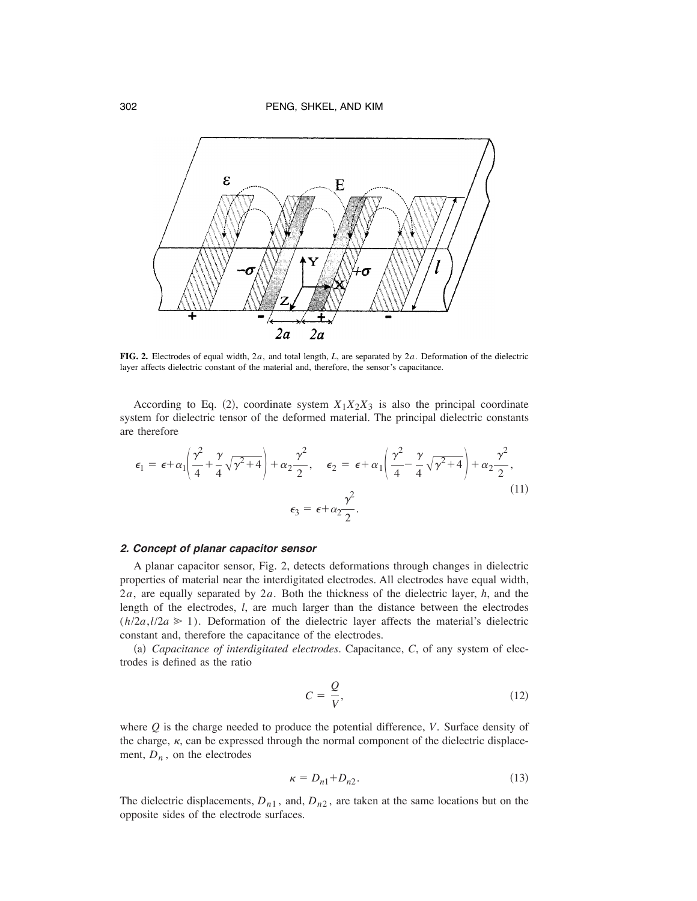

**FIG. 2.** Electrodes of equal width, 2*a*, and total length, *L*, are separated by 2*a*. Deformation of the dielectric layer affects dielectric constant of the material and, therefore, the sensor's capacitance.

According to Eq. (2), coordinate system  $X_1X_2X_3$  is also the principal coordinate system for dielectric tensor of the deformed material. The principal dielectric constants are therefore

$$
\epsilon_1 = \epsilon + \alpha_1 \left( \frac{\gamma^2}{4} + \frac{\gamma}{4} \sqrt{\gamma^2 + 4} \right) + \alpha_2 \frac{\gamma^2}{2}, \quad \epsilon_2 = \epsilon + \alpha_1 \left( \frac{\gamma^2}{4} - \frac{\gamma}{4} \sqrt{\gamma^2 + 4} \right) + \alpha_2 \frac{\gamma^2}{2},
$$
\n
$$
\epsilon_3 = \epsilon + \alpha_2 \frac{\gamma^2}{2}.
$$
\n(11)

#### **2. Concept of planar capacitor sensor**

A planar capacitor sensor, Fig. 2, detects deformations through changes in dielectric properties of material near the interdigitated electrodes. All electrodes have equal width, 2*a*, are equally separated by 2*a*. Both the thickness of the dielectric layer, *h*, and the length of the electrodes, *l*, are much larger than the distance between the electrodes  $(h/2a, l/2a \geq 1)$ . Deformation of the dielectric layer affects the material's dielectric constant and, therefore the capacitance of the electrodes.

(a) *Capacitance of interdigitated electrodes*. Capacitance, *C*, of any system of electrodes is defined as the ratio

$$
C = \frac{Q}{V},\tag{12}
$$

where *Q* is the charge needed to produce the potential difference, *V*. Surface density of the charge,  $\kappa$ , can be expressed through the normal component of the dielectric displacement,  $D_n$ , on the electrodes

$$
\kappa = D_{n1} + D_{n2}.\tag{13}
$$

The dielectric displacements,  $D_{n1}$ , and,  $D_{n2}$ , are taken at the same locations but on the opposite sides of the electrode surfaces.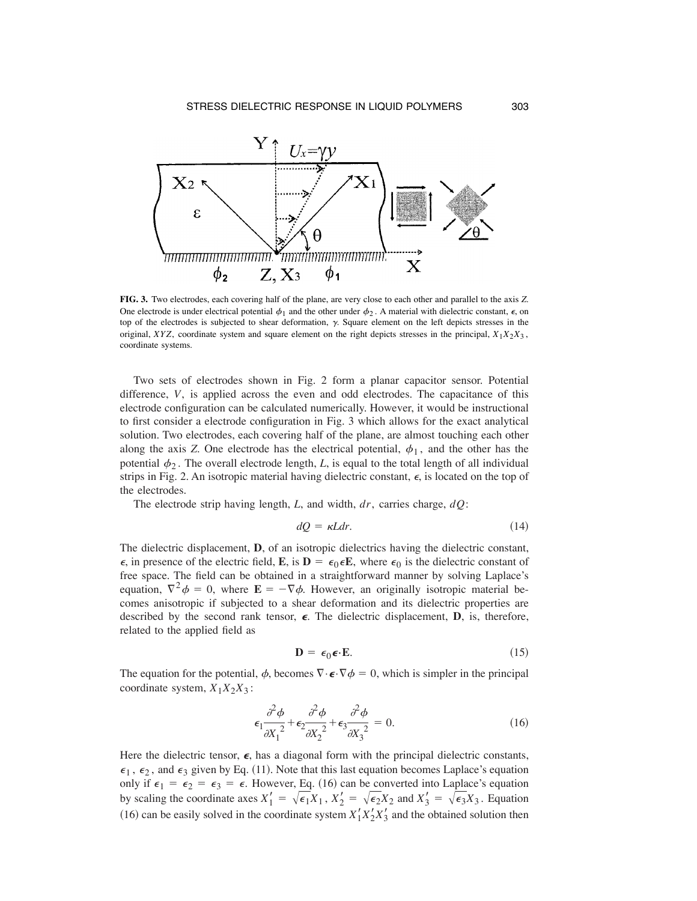

**FIG. 3.** Two electrodes, each covering half of the plane, are very close to each other and parallel to the axis *Z*. One electrode is under electrical potential  $\phi_1$  and the other under  $\phi_2$ . A material with dielectric constant,  $\epsilon$ , on top of the electrodes is subjected to shear deformation,  $\gamma$ . Square element on the left depicts stresses in the original, *XYZ*, coordinate system and square element on the right depicts stresses in the principal,  $X_1X_2X_3$ , coordinate systems.

Two sets of electrodes shown in Fig. 2 form a planar capacitor sensor. Potential difference, *V*, is applied across the even and odd electrodes. The capacitance of this electrode configuration can be calculated numerically. However, it would be instructional to first consider a electrode configuration in Fig. 3 which allows for the exact analytical solution. Two electrodes, each covering half of the plane, are almost touching each other along the axis *Z*. One electrode has the electrical potential,  $\phi_1$ , and the other has the potential  $\phi_2$ . The overall electrode length, *L*, is equal to the total length of all individual strips in Fig. 2. An isotropic material having dielectric constant,  $\epsilon$ , is located on the top of the electrodes.

The electrode strip having length, *L*, and width, *dr*, carries charge, *dQ*:

$$
dQ = \kappa L dr. \tag{14}
$$

The dielectric displacement, **D**, of an isotropic dielectrics having the dielectric constant,  $\epsilon$ , in presence of the electric field, **E**, is **D** =  $\epsilon_0 \epsilon$ **E**, where  $\epsilon_0$  is the dielectric constant of free space. The field can be obtained in a straightforward manner by solving Laplace's equation,  $\nabla^2 \phi = 0$ , where  $\mathbf{E} = -\nabla \phi$ . However, an originally isotropic material becomes anisotropic if subjected to a shear deformation and its dielectric properties are described by the second rank tensor,  $\epsilon$ . The dielectric displacement, **D**, is, therefore, related to the applied field as

$$
\mathbf{D} = \epsilon_0 \boldsymbol{\epsilon} \cdot \mathbf{E}. \tag{15}
$$

The equation for the potential,  $\phi$ , becomes  $\nabla \cdot \boldsymbol{\epsilon} \cdot \nabla \phi = 0$ , which is simpler in the principal coordinate system, *X*1*X*2*X*<sup>3</sup> :

$$
\epsilon_1 \frac{\partial^2 \phi}{\partial X_1^2} + \epsilon_2 \frac{\partial^2 \phi}{\partial X_2^2} + \epsilon_3 \frac{\partial^2 \phi}{\partial X_3^2} = 0.
$$
 (16)

Here the dielectric tensor,  $\epsilon$ , has a diagonal form with the principal dielectric constants,  $\epsilon_1$ ,  $\epsilon_2$ , and  $\epsilon_3$  given by Eq. (11). Note that this last equation becomes Laplace's equation only if  $\epsilon_1 = \epsilon_2 = \epsilon_3 = \epsilon$ . However, Eq. (16) can be converted into Laplace's equation by scaling the coordinate axes  $X'_1 = \sqrt{\epsilon_1} X_1$ ,  $X'_2 = \sqrt{\epsilon_2} X_2$  and  $X'_3 = \sqrt{\epsilon_3} X_3$ . Equation (16) can be easily solved in the coordinate system  $X_1'X_2'X_3'$  and the obtained solution then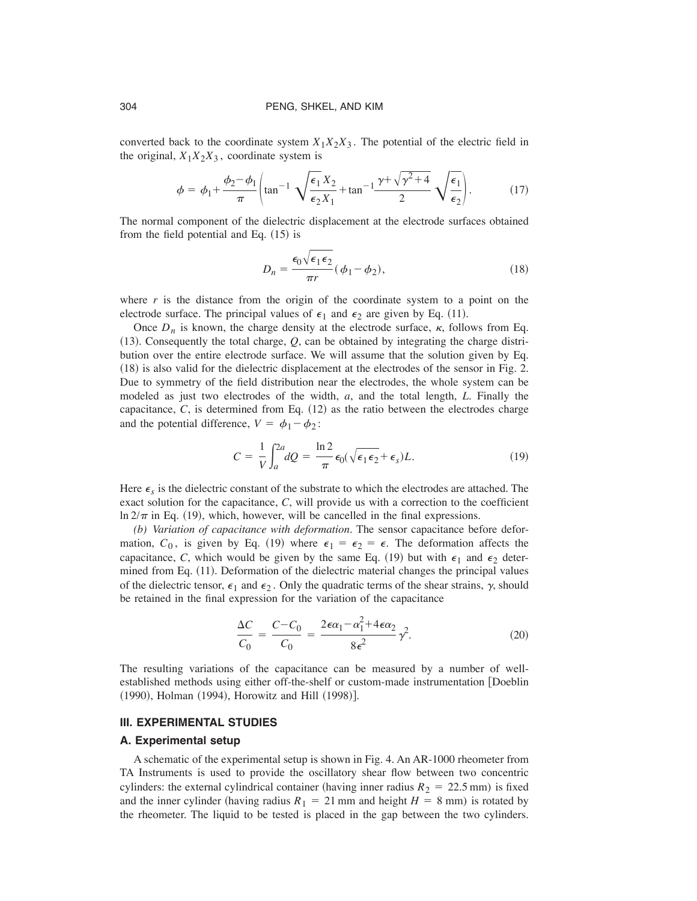converted back to the coordinate system  $X_1X_2X_3$ . The potential of the electric field in the original,  $X_1X_2X_3$ , coordinate system is

$$
\phi = \phi_1 + \frac{\phi_2 - \phi_1}{\pi} \left( \tan^{-1} \sqrt{\frac{\epsilon_1}{\epsilon_2 X_1}} + \tan^{-1} \frac{\gamma + \sqrt{\gamma^2 + 4}}{2} \sqrt{\frac{\epsilon_1}{\epsilon_2}} \right). \tag{17}
$$

The normal component of the dielectric displacement at the electrode surfaces obtained from the field potential and Eq.  $(15)$  is

$$
D_n = \frac{\epsilon_0 \sqrt{\epsilon_1 \epsilon_2}}{\pi r} (\phi_1 - \phi_2), \qquad (18)
$$

where  $r$  is the distance from the origin of the coordinate system to a point on the electrode surface. The principal values of  $\epsilon_1$  and  $\epsilon_2$  are given by Eq. (11).

Once  $D_n$  is known, the charge density at the electrode surface,  $\kappa$ , follows from Eq.  $(13)$ . Consequently the total charge,  $Q$ , can be obtained by integrating the charge distribution over the entire electrode surface. We will assume that the solution given by Eq.  $(18)$  is also valid for the dielectric displacement at the electrodes of the sensor in Fig. 2. Due to symmetry of the field distribution near the electrodes, the whole system can be modeled as just two electrodes of the width, *a*, and the total length, *L*. Finally the capacitance,  $C$ , is determined from Eq.  $(12)$  as the ratio between the electrodes charge and the potential difference,  $V = \phi_1 - \phi_2$ :

$$
C = \frac{1}{V} \int_{a}^{2a} dQ = \frac{\ln 2}{\pi} \epsilon_0 (\sqrt{\epsilon_1 \epsilon_2} + \epsilon_s) L.
$$
 (19)

Here  $\epsilon_s$  is the dielectric constant of the substrate to which the electrodes are attached. The exact solution for the capacitance, *C*, will provide us with a correction to the coefficient  $\ln 2/\pi$  in Eq. (19), which, however, will be cancelled in the final expressions.

*(b) Variation of capacitance with deformation*. The sensor capacitance before deformation,  $C_0$ , is given by Eq. (19) where  $\epsilon_1 = \epsilon_2 = \epsilon$ . The deformation affects the capacitance, *C*, which would be given by the same Eq. (19) but with  $\epsilon_1$  and  $\epsilon_2$  determined from Eq. (11). Deformation of the dielectric material changes the principal values of the dielectric tensor,  $\epsilon_1$  and  $\epsilon_2$ . Only the quadratic terms of the shear strains,  $\gamma$ , should be retained in the final expression for the variation of the capacitance

$$
\frac{\Delta C}{C_0} = \frac{C - C_0}{C_0} = \frac{2\epsilon \alpha_1 - \alpha_1^2 + 4\epsilon \alpha_2}{8\epsilon^2} \gamma^2.
$$
 (20)

The resulting variations of the capacitance can be measured by a number of wellestablished methods using either off-the-shelf or custom-made instrumentation [Doeblin (1990), Holman (1994), Horowitz and Hill (1998)].

## **III. EXPERIMENTAL STUDIES**

#### **A. Experimental setup**

A schematic of the experimental setup is shown in Fig. 4. An AR-1000 rheometer from TA Instruments is used to provide the oscillatory shear flow between two concentric cylinders: the external cylindrical container (having inner radius  $R_2 = 22.5$  mm) is fixed and the inner cylinder (having radius  $R_1 = 21$  mm and height  $H = 8$  mm) is rotated by the rheometer. The liquid to be tested is placed in the gap between the two cylinders.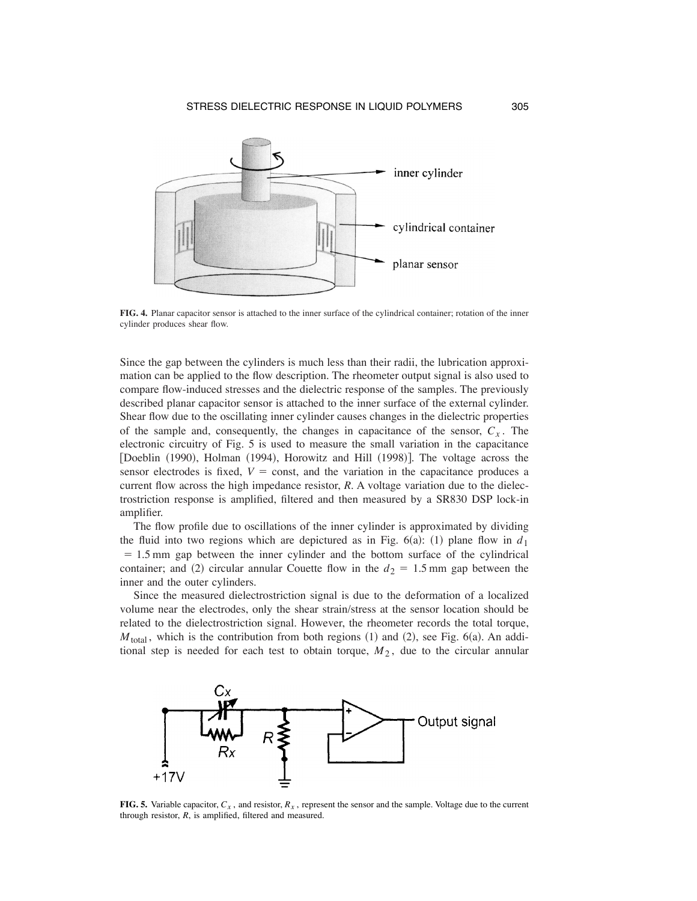

**FIG. 4.** Planar capacitor sensor is attached to the inner surface of the cylindrical container; rotation of the inner cylinder produces shear flow.

Since the gap between the cylinders is much less than their radii, the lubrication approximation can be applied to the flow description. The rheometer output signal is also used to compare flow-induced stresses and the dielectric response of the samples. The previously described planar capacitor sensor is attached to the inner surface of the external cylinder. Shear flow due to the oscillating inner cylinder causes changes in the dielectric properties of the sample and, consequently, the changes in capacitance of the sensor,  $C_x$ . The electronic circuitry of Fig. 5 is used to measure the small variation in the capacitance [Doeblin (1990), Holman (1994), Horowitz and Hill (1998)]. The voltage across the sensor electrodes is fixed,  $V =$  const, and the variation in the capacitance produces a current flow across the high impedance resistor, *R*. A voltage variation due to the dielectrostriction response is amplified, filtered and then measured by a SR830 DSP lock-in amplifier.

The flow profile due to oscillations of the inner cylinder is approximated by dividing the fluid into two regions which are depictured as in Fig.  $6(a)$ : (1) plane flow in  $d_1$  $= 1.5$  mm gap between the inner cylinder and the bottom surface of the cylindrical container; and (2) circular annular Couette flow in the  $d_2 = 1.5$  mm gap between the inner and the outer cylinders.

Since the measured dielectrostriction signal is due to the deformation of a localized volume near the electrodes, only the shear strain/stress at the sensor location should be related to the dielectrostriction signal. However, the rheometer records the total torque,  $M_{\text{total}}$ , which is the contribution from both regions (1) and (2), see Fig. 6(a). An additional step is needed for each test to obtain torque,  $M_2$ , due to the circular annular



**FIG.** 5. Variable capacitor,  $C_x$ , and resistor,  $R_x$ , represent the sensor and the sample. Voltage due to the current through resistor, *R*, is amplified, filtered and measured.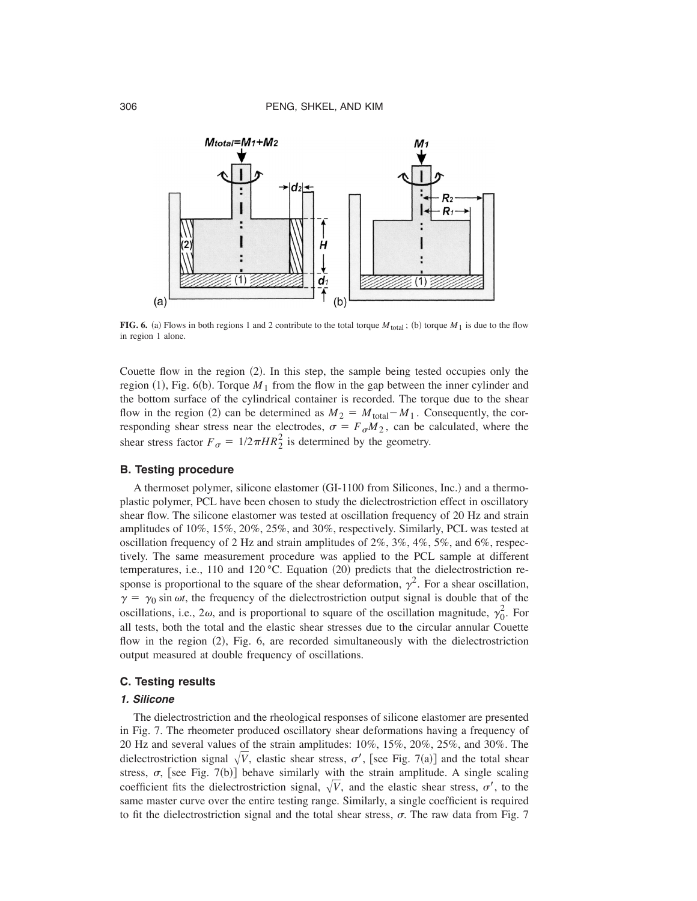

**FIG.** 6. (a) Flows in both regions 1 and 2 contribute to the total torque  $M_{\text{total}}$ ; (b) torque  $M_1$  is due to the flow in region 1 alone.

Couette flow in the region  $(2)$ . In this step, the sample being tested occupies only the region (1), Fig. 6(b). Torque  $M_1$  from the flow in the gap between the inner cylinder and the bottom surface of the cylindrical container is recorded. The torque due to the shear flow in the region (2) can be determined as  $M_2 = M_{\text{total}} - M_1$ . Consequently, the corresponding shear stress near the electrodes,  $\sigma = F_{\sigma}M_2$ , can be calculated, where the shear stress factor  $F_{\sigma} = 1/2\pi HR_2^2$  is determined by the geometry.

## **B. Testing procedure**

A thermoset polymer, silicone elastomer (GI-1100 from Silicones, Inc.) and a thermoplastic polymer, PCL have been chosen to study the dielectrostriction effect in oscillatory shear flow. The silicone elastomer was tested at oscillation frequency of 20 Hz and strain amplitudes of 10%, 15%, 20%, 25%, and 30%, respectively. Similarly, PCL was tested at oscillation frequency of 2 Hz and strain amplitudes of  $2\%$ ,  $3\%$ ,  $4\%$ ,  $5\%$ , and  $6\%$ , respectively. The same measurement procedure was applied to the PCL sample at different temperatures, i.e., 110 and 120 °C. Equation (20) predicts that the dielectrostriction response is proportional to the square of the shear deformation,  $\gamma^2$ . For a shear oscillation,  $\gamma = \gamma_0 \sin \omega t$ , the frequency of the dielectrostriction output signal is double that of the oscillations, i.e.,  $2\omega$ , and is proportional to square of the oscillation magnitude,  $\gamma_0^2$ . For all tests, both the total and the elastic shear stresses due to the circular annular Couette flow in the region  $(2)$ , Fig. 6, are recorded simultaneously with the dielectrostriction output measured at double frequency of oscillations.

## **C. Testing results**

#### **1. Silicone**

The dielectrostriction and the rheological responses of silicone elastomer are presented in Fig. 7. The rheometer produced oscillatory shear deformations having a frequency of 20 Hz and several values of the strain amplitudes: 10%, 15%, 20%, 25%, and 30%. The dielectrostriction signal  $\sqrt{V}$ , elastic shear stress,  $\sigma'$ , [see Fig. 7(a)] and the total shear stress,  $\sigma$ , [see Fig. 7(b)] behave similarly with the strain amplitude. A single scaling coefficient fits the dielectrostriction signal,  $\sqrt{V}$ , and the elastic shear stress,  $\sigma'$ , to the same master curve over the entire testing range. Similarly, a single coefficient is required to fit the dielectrostriction signal and the total shear stress,  $\sigma$ . The raw data from Fig. 7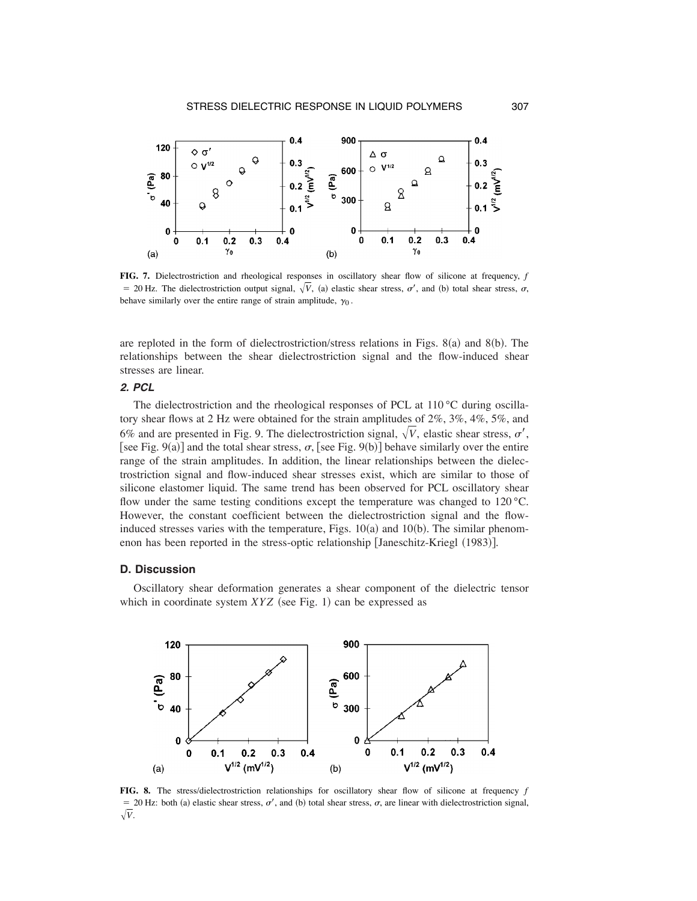

**FIG. 7.** Dielectrostriction and rheological responses in oscillatory shear flow of silicone at frequency, *f*  $= 20$  Hz. The dielectrostriction output signal,  $\sqrt{V}$ , (a) elastic shear stress,  $\sigma'$ , and (b) total shear stress,  $\sigma$ , behave similarly over the entire range of strain amplitude,  $\gamma_0$ .

are reploted in the form of dielectrostriction/stress relations in Figs. 8(a) and 8(b). The relationships between the shear dielectrostriction signal and the flow-induced shear stresses are linear.

## **2. PCL**

The dielectrostriction and the rheological responses of PCL at 110 °C during oscillatory shear flows at 2 Hz were obtained for the strain amplitudes of 2%, 3%, 4%, 5%, and 6% and are presented in Fig. 9. The dielectrostriction signal,  $\sqrt{V}$ , elastic shear stress,  $\sigma'$ , [see Fig. 9(a)] and the total shear stress,  $\sigma$ , [see Fig. 9(b)] behave similarly over the entire range of the strain amplitudes. In addition, the linear relationships between the dielectrostriction signal and flow-induced shear stresses exist, which are similar to those of silicone elastomer liquid. The same trend has been observed for PCL oscillatory shear flow under the same testing conditions except the temperature was changed to 120 °C. However, the constant coefficient between the dielectrostriction signal and the flowinduced stresses varies with the temperature, Figs.  $10(a)$  and  $10(b)$ . The similar phenomenon has been reported in the stress-optic relationship [Janeschitz-Kriegl (1983)].

## **D. Discussion**

Oscillatory shear deformation generates a shear component of the dielectric tensor which in coordinate system  $XYZ$  (see Fig. 1) can be expressed as



**FIG. 8.** The stress/dielectrostriction relationships for oscillatory shear flow of silicone at frequency *f*  $= 20$  Hz: both (a) elastic shear stress,  $\sigma'$ , and (b) total shear stress,  $\sigma$ , are linear with dielectrostriction signal,  $\sqrt{V}$ .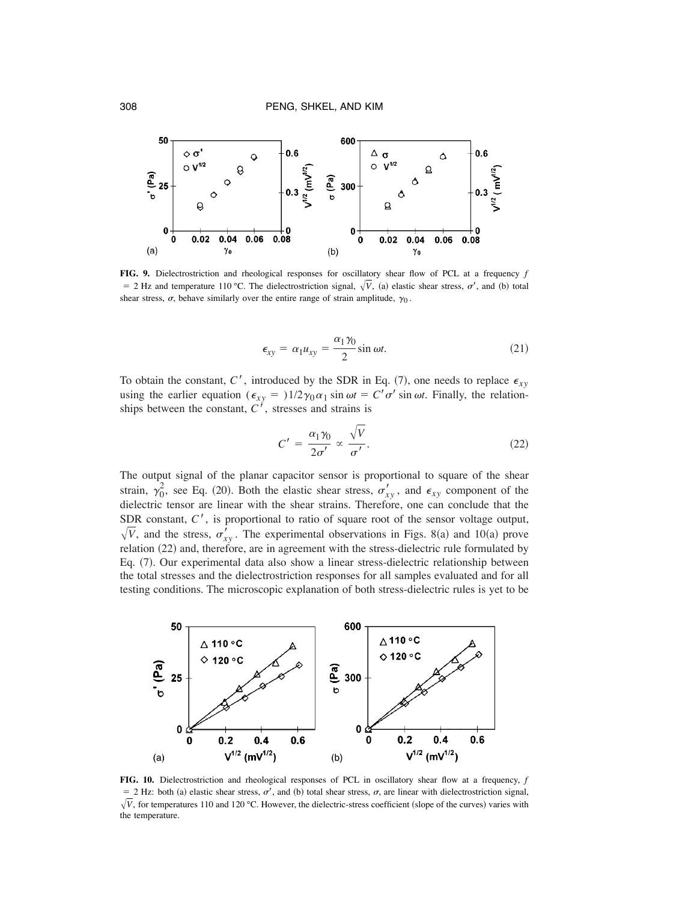

**FIG. 9.** Dielectrostriction and rheological responses for oscillatory shear flow of PCL at a frequency *f*  $= 2$  Hz and temperature 110 °C. The dielectrostriction signal,  $\sqrt{V}$ , (a) elastic shear stress,  $\sigma'$ , and (b) total shear stress,  $\sigma$ , behave similarly over the entire range of strain amplitude,  $\gamma_0$ .

$$
\epsilon_{xy} = \alpha_1 u_{xy} = \frac{\alpha_1 \gamma_0}{2} \sin \omega t. \tag{21}
$$

To obtain the constant, C', introduced by the SDR in Eq. (7), one needs to replace  $\epsilon_{xy}$ using the earlier equation ( $\epsilon_{xy} = 1/2\gamma_0\alpha_1 \sin \omega t = C'\sigma' \sin \omega t$ . Finally, the relationships between the constant,  $C'$ , stresses and strains is

$$
C' = \frac{\alpha_1 \gamma_0}{2\sigma'} \propto \frac{\sqrt{V}}{\sigma'}.
$$
 (22)

The output signal of the planar capacitor sensor is proportional to square of the shear strain,  $\gamma_0^2$ , see Eq. (20). Both the elastic shear stress,  $\sigma'_{xy}$ , and  $\epsilon_{xy}$  component of the dielectric tensor are linear with the shear strains. Therefore, one can conclude that the SDR constant,  $C'$ , is proportional to ratio of square root of the sensor voltage output,  $\sqrt{V}$ , and the stress,  $\sigma'_{xy}$ . The experimental observations in Figs. 8(a) and 10(a) prove relation  $(22)$  and, therefore, are in agreement with the stress-dielectric rule formulated by Eq. (7). Our experimental data also show a linear stress-dielectric relationship between the total stresses and the dielectrostriction responses for all samples evaluated and for all testing conditions. The microscopic explanation of both stress-dielectric rules is yet to be



**FIG. 10.** Dielectrostriction and rheological responses of PCL in oscillatory shear flow at a frequency, *f*  $= 2$  Hz: both (a) elastic shear stress,  $\sigma'$ , and (b) total shear stress,  $\sigma$ , are linear with dielectrostriction signal,  $\sqrt{V}$ , for temperatures 110 and 120 °C. However, the dielectric-stress coefficient (slope of the curves) varies with the temperature.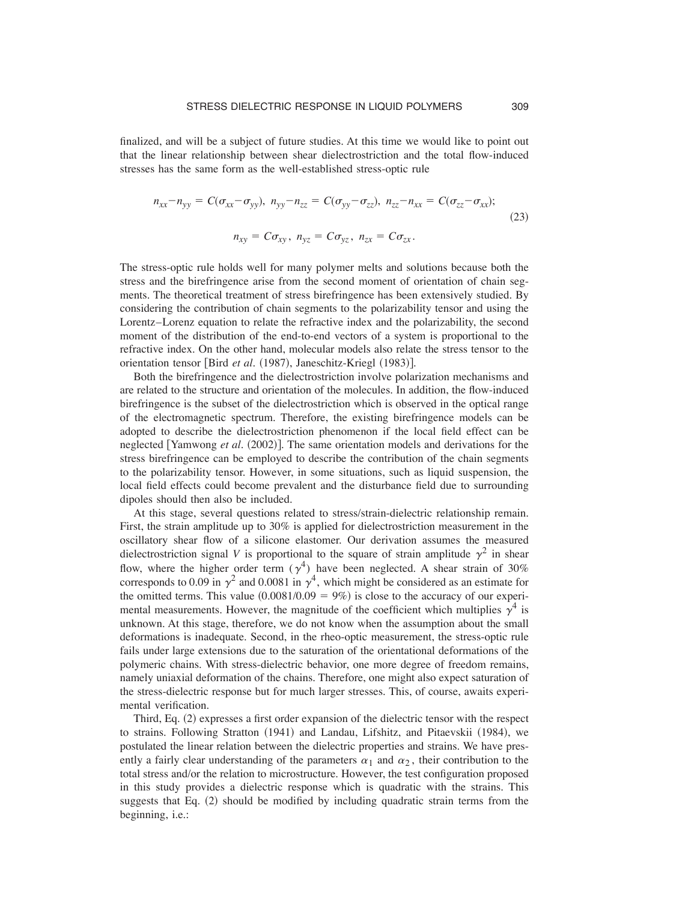finalized, and will be a subject of future studies. At this time we would like to point out that the linear relationship between shear dielectrostriction and the total flow-induced stresses has the same form as the well-established stress-optic rule

$$
n_{xx} - n_{yy} = C(\sigma_{xx} - \sigma_{yy}), \ n_{yy} - n_{zz} = C(\sigma_{yy} - \sigma_{zz}), \ n_{zz} - n_{xx} = C(\sigma_{zz} - \sigma_{xx});
$$
  

$$
n_{xy} = C\sigma_{xy}, \ n_{yz} = C\sigma_{yz}, \ n_{zx} = C\sigma_{zx}.
$$
 (23)

The stress-optic rule holds well for many polymer melts and solutions because both the stress and the birefringence arise from the second moment of orientation of chain segments. The theoretical treatment of stress birefringence has been extensively studied. By considering the contribution of chain segments to the polarizability tensor and using the Lorentz–Lorenz equation to relate the refractive index and the polarizability, the second moment of the distribution of the end-to-end vectors of a system is proportional to the refractive index. On the other hand, molecular models also relate the stress tensor to the orientation tensor [Bird *et al.* (1987), Janeschitz-Kriegl (1983)].

Both the birefringence and the dielectrostriction involve polarization mechanisms and are related to the structure and orientation of the molecules. In addition, the flow-induced birefringence is the subset of the dielectrostriction which is observed in the optical range of the electromagnetic spectrum. Therefore, the existing birefringence models can be adopted to describe the dielectrostriction phenomenon if the local field effect can be neglected [Yamwong *et al.* (2002)]. The same orientation models and derivations for the stress birefringence can be employed to describe the contribution of the chain segments to the polarizability tensor. However, in some situations, such as liquid suspension, the local field effects could become prevalent and the disturbance field due to surrounding dipoles should then also be included.

At this stage, several questions related to stress/strain-dielectric relationship remain. First, the strain amplitude up to 30% is applied for dielectrostriction measurement in the oscillatory shear flow of a silicone elastomer. Our derivation assumes the measured dielectrostriction signal *V* is proportional to the square of strain amplitude  $\gamma^2$  in shear flow, where the higher order term  $(\gamma^4)$  have been neglected. A shear strain of 30% corresponds to 0.09 in  $\gamma^2$  and 0.0081 in  $\gamma^4$ , which might be considered as an estimate for the omitted terms. This value  $(0.0081/0.09 = 9\%)$  is close to the accuracy of our experimental measurements. However, the magnitude of the coefficient which multiplies  $\gamma^4$  is unknown. At this stage, therefore, we do not know when the assumption about the small deformations is inadequate. Second, in the rheo-optic measurement, the stress-optic rule fails under large extensions due to the saturation of the orientational deformations of the polymeric chains. With stress-dielectric behavior, one more degree of freedom remains, namely uniaxial deformation of the chains. Therefore, one might also expect saturation of the stress-dielectric response but for much larger stresses. This, of course, awaits experimental verification.

Third, Eq. (2) expresses a first order expansion of the dielectric tensor with the respect to strains. Following Stratton (1941) and Landau, Lifshitz, and Pitaevskii (1984), we postulated the linear relation between the dielectric properties and strains. We have presently a fairly clear understanding of the parameters  $\alpha_1$  and  $\alpha_2$ , their contribution to the total stress and/or the relation to microstructure. However, the test configuration proposed in this study provides a dielectric response which is quadratic with the strains. This suggests that Eq.  $(2)$  should be modified by including quadratic strain terms from the beginning, i.e.: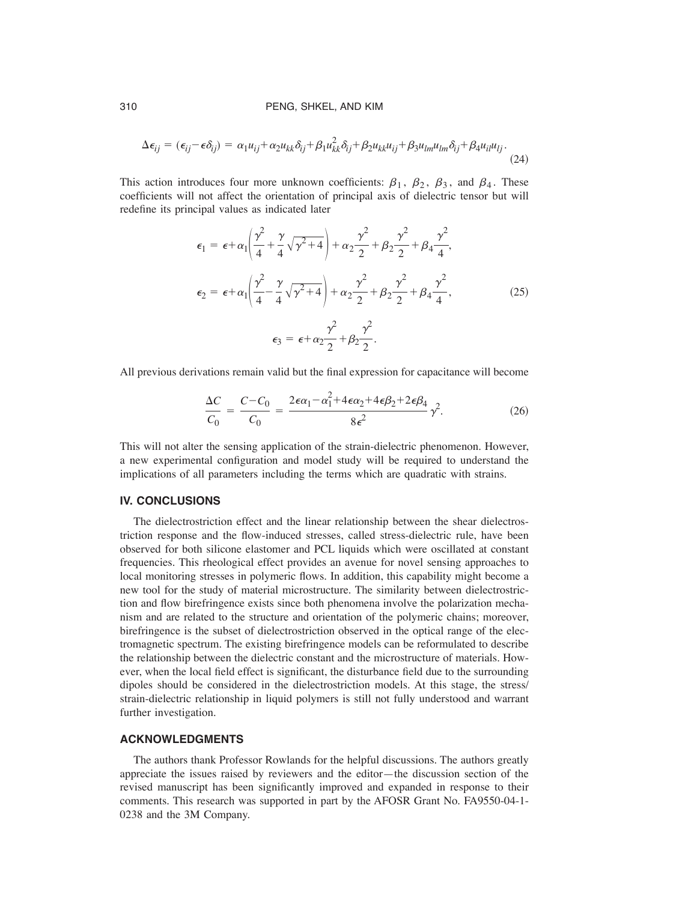## 310 PENG, SHKEL, AND KIM

$$
\Delta \epsilon_{ij} = (\epsilon_{ij} - \epsilon \delta_{ij}) = \alpha_1 u_{ij} + \alpha_2 u_{kk} \delta_{ij} + \beta_1 u_{kk}^2 \delta_{ij} + \beta_2 u_{kk} u_{ij} + \beta_3 u_{lm} u_{lm} \delta_{ij} + \beta_4 u_{il} u_{lj}.
$$
\n(24)

This action introduces four more unknown coefficients:  $\beta_1$ ,  $\beta_2$ ,  $\beta_3$ , and  $\beta_4$ . These coefficients will not affect the orientation of principal axis of dielectric tensor but will redefine its principal values as indicated later

$$
\epsilon_1 = \epsilon + \alpha_1 \left( \frac{\gamma^2}{4} + \frac{\gamma}{4} \sqrt{\gamma^2 + 4} \right) + \alpha_2 \frac{\gamma^2}{2} + \beta_2 \frac{\gamma^2}{2} + \beta_4 \frac{\gamma^2}{4},
$$
  

$$
\epsilon_2 = \epsilon + \alpha_1 \left( \frac{\gamma^2}{4} - \frac{\gamma}{4} \sqrt{\gamma^2 + 4} \right) + \alpha_2 \frac{\gamma^2}{2} + \beta_2 \frac{\gamma^2}{2} + \beta_4 \frac{\gamma^2}{4},
$$
  

$$
\epsilon_3 = \epsilon + \alpha_2 \frac{\gamma^2}{2} + \beta_2 \frac{\gamma^2}{2}.
$$
 (25)

All previous derivations remain valid but the final expression for capacitance will become

$$
\frac{\Delta C}{C_0} = \frac{C - C_0}{C_0} = \frac{2\epsilon \alpha_1 - \alpha_1^2 + 4\epsilon \alpha_2 + 4\epsilon \beta_2 + 2\epsilon \beta_4}{8\epsilon^2} \gamma^2.
$$
\n(26)

This will not alter the sensing application of the strain-dielectric phenomenon. However, a new experimental configuration and model study will be required to understand the implications of all parameters including the terms which are quadratic with strains.

## **IV. CONCLUSIONS**

The dielectrostriction effect and the linear relationship between the shear dielectrostriction response and the flow-induced stresses, called stress-dielectric rule, have been observed for both silicone elastomer and PCL liquids which were oscillated at constant frequencies. This rheological effect provides an avenue for novel sensing approaches to local monitoring stresses in polymeric flows. In addition, this capability might become a new tool for the study of material microstructure. The similarity between dielectrostriction and flow birefringence exists since both phenomena involve the polarization mechanism and are related to the structure and orientation of the polymeric chains; moreover, birefringence is the subset of dielectrostriction observed in the optical range of the electromagnetic spectrum. The existing birefringence models can be reformulated to describe the relationship between the dielectric constant and the microstructure of materials. However, when the local field effect is significant, the disturbance field due to the surrounding dipoles should be considered in the dielectrostriction models. At this stage, the stress/ strain-dielectric relationship in liquid polymers is still not fully understood and warrant further investigation.

## **ACKNOWLEDGMENTS**

The authors thank Professor Rowlands for the helpful discussions. The authors greatly appreciate the issues raised by reviewers and the editor—the discussion section of the revised manuscript has been significantly improved and expanded in response to their comments. This research was supported in part by the AFOSR Grant No. FA9550-04-1- 0238 and the 3M Company.